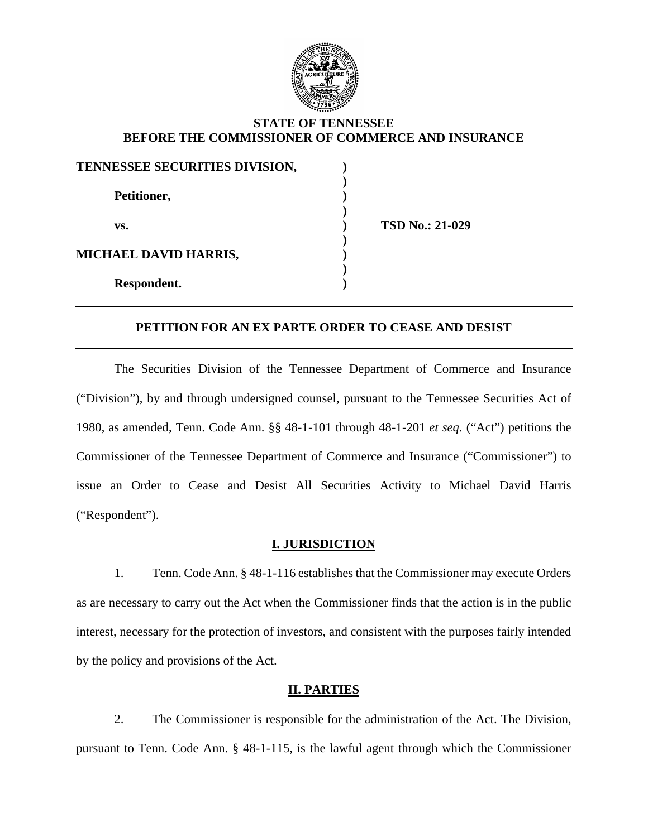

### **STATE OF TENNESSEE BEFORE THE COMMISSIONER OF COMMERCE AND INSURANCE**

| TENNESSEE SECURITIES DIVISION, |                        |
|--------------------------------|------------------------|
| Petitioner,                    |                        |
| VS.                            | <b>TSD No.: 21-029</b> |
| <b>MICHAEL DAVID HARRIS,</b>   |                        |
| Respondent.                    |                        |

### **PETITION FOR AN EX PARTE ORDER TO CEASE AND DESIST**

The Securities Division of the Tennessee Department of Commerce and Insurance ("Division"), by and through undersigned counsel, pursuant to the Tennessee Securities Act of 1980, as amended, Tenn. Code Ann. §§ 48-1-101 through 48-1-201 *et seq.* ("Act") petitions the Commissioner of the Tennessee Department of Commerce and Insurance ("Commissioner") to issue an Order to Cease and Desist All Securities Activity to Michael David Harris ("Respondent").

#### **I. JURISDICTION**

1. Tenn. Code Ann. § 48-1-116 establishes that the Commissioner may execute Orders as are necessary to carry out the Act when the Commissioner finds that the action is in the public interest, necessary for the protection of investors, and consistent with the purposes fairly intended by the policy and provisions of the Act.

#### **II. PARTIES**

2. The Commissioner is responsible for the administration of the Act. The Division, pursuant to Tenn. Code Ann. § 48-1-115, is the lawful agent through which the Commissioner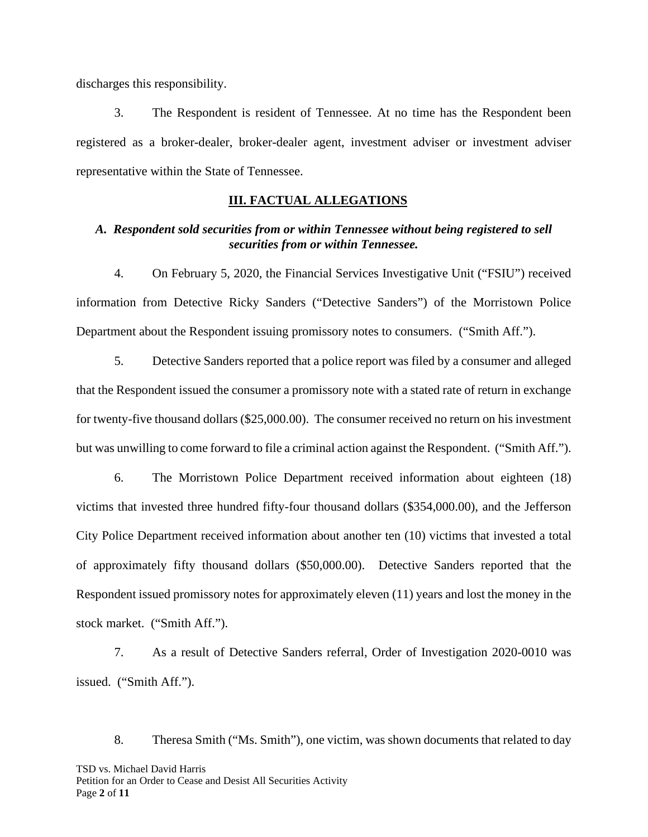discharges this responsibility.

3. The Respondent is resident of Tennessee. At no time has the Respondent been registered as a broker-dealer, broker-dealer agent, investment adviser or investment adviser representative within the State of Tennessee.

### **III. FACTUAL ALLEGATIONS**

## *A. Respondent sold securities from or within Tennessee without being registered to sell securities from or within Tennessee.*

4. On February 5, 2020, the Financial Services Investigative Unit ("FSIU") received information from Detective Ricky Sanders ("Detective Sanders") of the Morristown Police Department about the Respondent issuing promissory notes to consumers. ("Smith Aff.").

5. Detective Sanders reported that a police report was filed by a consumer and alleged that the Respondent issued the consumer a promissory note with a stated rate of return in exchange for twenty-five thousand dollars (\$25,000.00). The consumer received no return on his investment but was unwilling to come forward to file a criminal action against the Respondent. ("Smith Aff.").

6. The Morristown Police Department received information about eighteen (18) victims that invested three hundred fifty-four thousand dollars (\$354,000.00), and the Jefferson City Police Department received information about another ten (10) victims that invested a total of approximately fifty thousand dollars (\$50,000.00). Detective Sanders reported that the Respondent issued promissory notes for approximately eleven (11) years and lost the money in the stock market. ("Smith Aff.").

7. As a result of Detective Sanders referral, Order of Investigation 2020-0010 was issued. ("Smith Aff.").

TSD vs. Michael David Harris Petition for an Order to Cease and Desist All Securities Activity Page **2** of **11** 8. Theresa Smith ("Ms. Smith"), one victim, was shown documents that related to day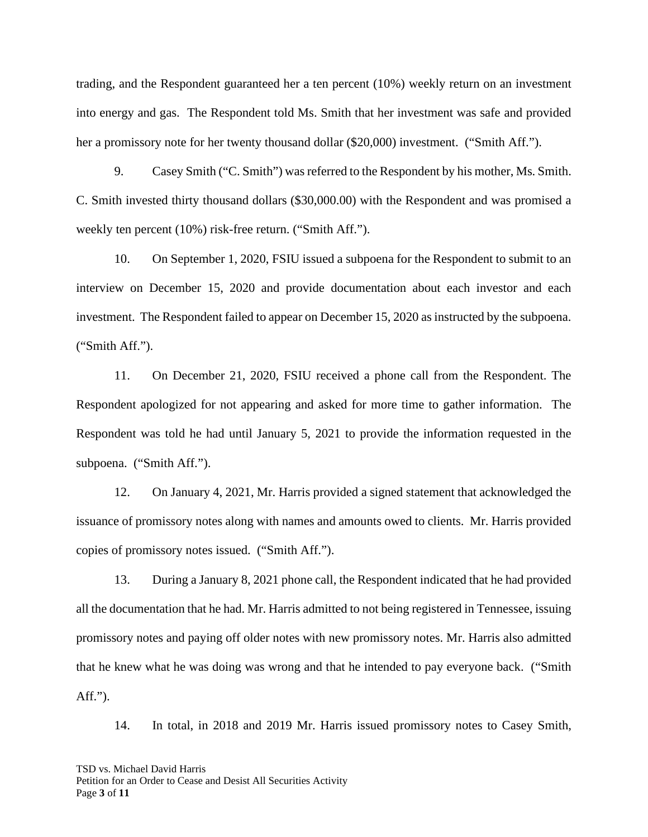trading, and the Respondent guaranteed her a ten percent (10%) weekly return on an investment into energy and gas. The Respondent told Ms. Smith that her investment was safe and provided her a promissory note for her twenty thousand dollar (\$20,000) investment. ("Smith Aff.").

9. Casey Smith ("C. Smith") was referred to the Respondent by his mother, Ms. Smith. C. Smith invested thirty thousand dollars (\$30,000.00) with the Respondent and was promised a weekly ten percent (10%) risk-free return. ("Smith Aff.").

10. On September 1, 2020, FSIU issued a subpoena for the Respondent to submit to an interview on December 15, 2020 and provide documentation about each investor and each investment. The Respondent failed to appear on December 15, 2020 as instructed by the subpoena. ("Smith Aff.").

11. On December 21, 2020, FSIU received a phone call from the Respondent. The Respondent apologized for not appearing and asked for more time to gather information. The Respondent was told he had until January 5, 2021 to provide the information requested in the subpoena. ("Smith Aff.").

12. On January 4, 2021, Mr. Harris provided a signed statement that acknowledged the issuance of promissory notes along with names and amounts owed to clients. Mr. Harris provided copies of promissory notes issued. ("Smith Aff.").

13. During a January 8, 2021 phone call, the Respondent indicated that he had provided all the documentation that he had. Mr. Harris admitted to not being registered in Tennessee, issuing promissory notes and paying off older notes with new promissory notes. Mr. Harris also admitted that he knew what he was doing was wrong and that he intended to pay everyone back. ("Smith Aff.").

14. In total, in 2018 and 2019 Mr. Harris issued promissory notes to Casey Smith,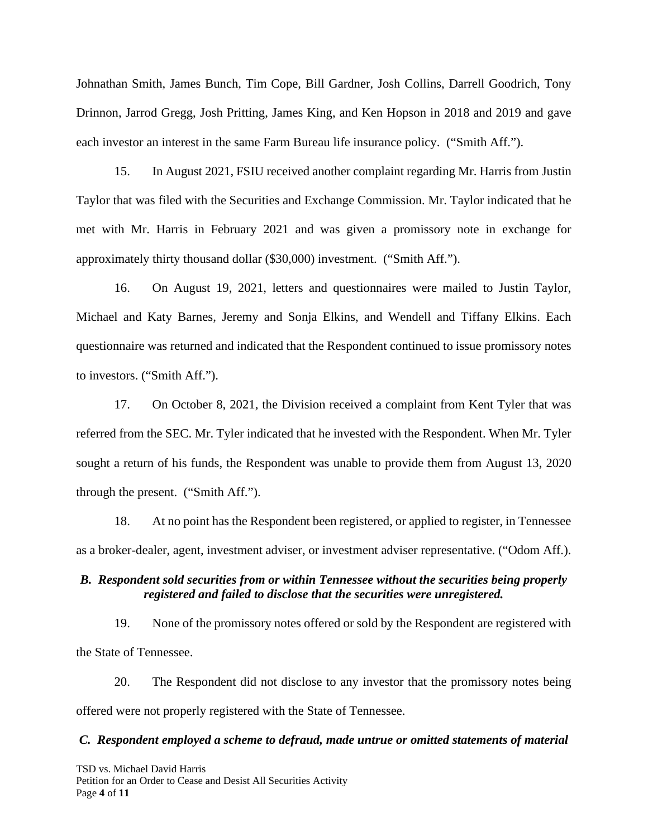Johnathan Smith, James Bunch, Tim Cope, Bill Gardner, Josh Collins, Darrell Goodrich, Tony Drinnon, Jarrod Gregg, Josh Pritting, James King, and Ken Hopson in 2018 and 2019 and gave each investor an interest in the same Farm Bureau life insurance policy. ("Smith Aff.").

15. In August 2021, FSIU received another complaint regarding Mr. Harris from Justin Taylor that was filed with the Securities and Exchange Commission. Mr. Taylor indicated that he met with Mr. Harris in February 2021 and was given a promissory note in exchange for approximately thirty thousand dollar (\$30,000) investment. ("Smith Aff.").

16. On August 19, 2021, letters and questionnaires were mailed to Justin Taylor, Michael and Katy Barnes, Jeremy and Sonja Elkins, and Wendell and Tiffany Elkins. Each questionnaire was returned and indicated that the Respondent continued to issue promissory notes to investors. ("Smith Aff.").

17. On October 8, 2021, the Division received a complaint from Kent Tyler that was referred from the SEC. Mr. Tyler indicated that he invested with the Respondent. When Mr. Tyler sought a return of his funds, the Respondent was unable to provide them from August 13, 2020 through the present. ("Smith Aff.").

18. At no point has the Respondent been registered, or applied to register, in Tennessee as a broker-dealer, agent, investment adviser, or investment adviser representative. ("Odom Aff.).

## *B. Respondent sold securities from or within Tennessee without the securities being properly registered and failed to disclose that the securities were unregistered.*

19. None of the promissory notes offered or sold by the Respondent are registered with the State of Tennessee.

20. The Respondent did not disclose to any investor that the promissory notes being offered were not properly registered with the State of Tennessee.

#### *C. Respondent employed a scheme to defraud, made untrue or omitted statements of material*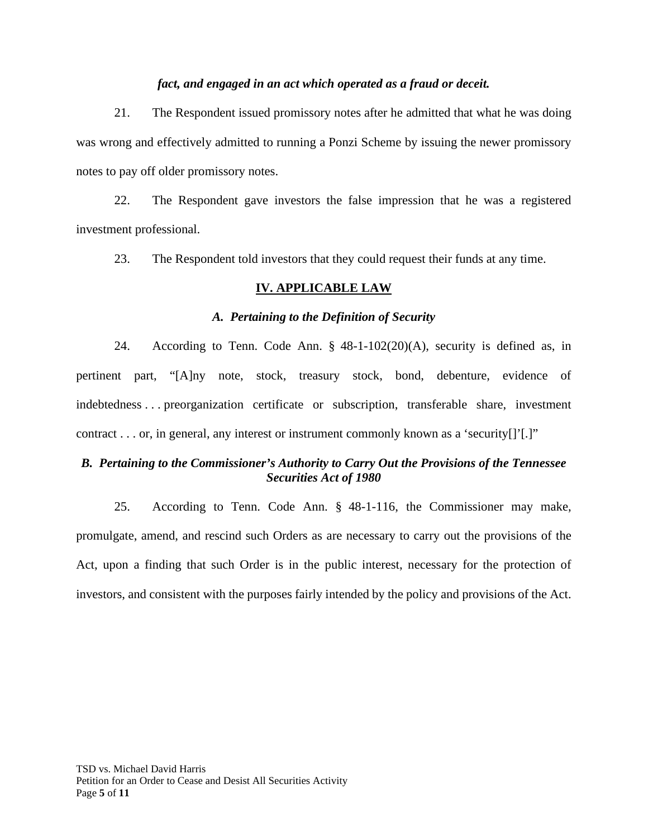### *fact, and engaged in an act which operated as a fraud or deceit.*

21. The Respondent issued promissory notes after he admitted that what he was doing was wrong and effectively admitted to running a Ponzi Scheme by issuing the newer promissory notes to pay off older promissory notes.

22. The Respondent gave investors the false impression that he was a registered investment professional.

23. The Respondent told investors that they could request their funds at any time.

### **IV. APPLICABLE LAW**

### *A. Pertaining to the Definition of Security*

24. According to Tenn. Code Ann. § 48-1-102(20)(A), security is defined as, in pertinent part, "[A]ny note, stock, treasury stock, bond, debenture, evidence of indebtedness . . . preorganization certificate or subscription, transferable share, investment contract . . . or, in general, any interest or instrument commonly known as a 'security[]'[.]"

## *B. Pertaining to the Commissioner's Authority to Carry Out the Provisions of the Tennessee Securities Act of 1980*

25. According to Tenn. Code Ann. § 48-1-116, the Commissioner may make, promulgate, amend, and rescind such Orders as are necessary to carry out the provisions of the Act, upon a finding that such Order is in the public interest, necessary for the protection of investors, and consistent with the purposes fairly intended by the policy and provisions of the Act.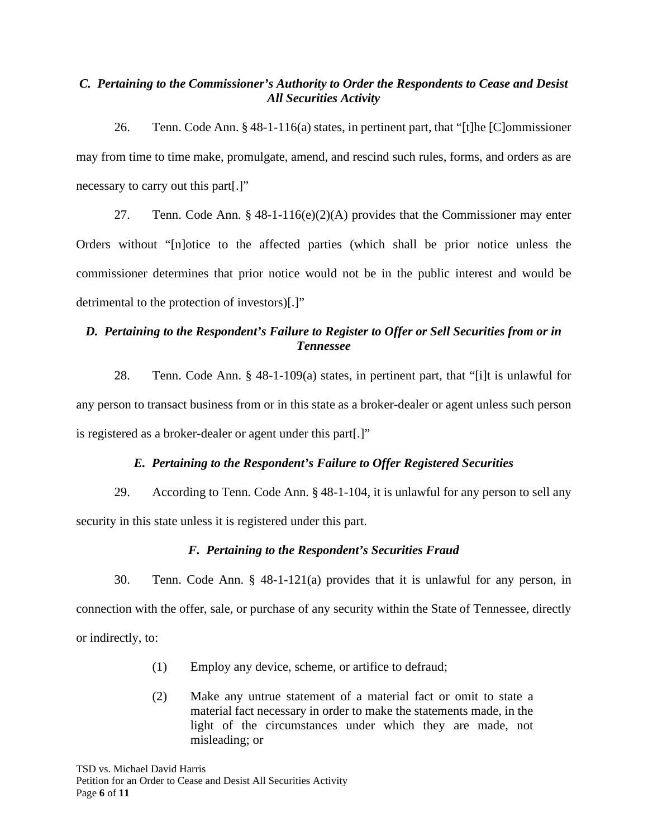## *C. Pertaining to the Commissioner's Authority to Order the Respondents to Cease and Desist All Securities Activity*

26. Tenn. Code Ann. § 48-1-116(a) states, in pertinent part, that "[t]he [C]ommissioner may from time to time make, promulgate, amend, and rescind such rules, forms, and orders as are necessary to carry out this part[.]"

27. Tenn. Code Ann. § 48-1-116(e)(2)(A) provides that the Commissioner may enter Orders without "[n]otice to the affected parties (which shall be prior notice unless the commissioner determines that prior notice would not be in the public interest and would be detrimental to the protection of investors)[.]"

# *D. Pertaining to the Respondent's Failure to Register to Offer or Sell Securities from or in Tennessee*

28. Tenn. Code Ann. § 48-1-109(a) states, in pertinent part, that "[i]t is unlawful for any person to transact business from or in this state as a broker-dealer or agent unless such person is registered as a broker-dealer or agent under this part[.]"

## *E. Pertaining to the Respondent's Failure to Offer Registered Securities*

29. According to Tenn. Code Ann. § 48-1-104, it is unlawful for any person to sell any security in this state unless it is registered under this part.

# *F. Pertaining to the Respondent's Securities Fraud*

30. Tenn. Code Ann. § 48-1-121(a) provides that it is unlawful for any person, in connection with the offer, sale, or purchase of any security within the State of Tennessee, directly or indirectly, to:

- (1) Employ any device, scheme, or artifice to defraud;
- (2) Make any untrue statement of a material fact or omit to state a material fact necessary in order to make the statements made, in the light of the circumstances under which they are made, not misleading; or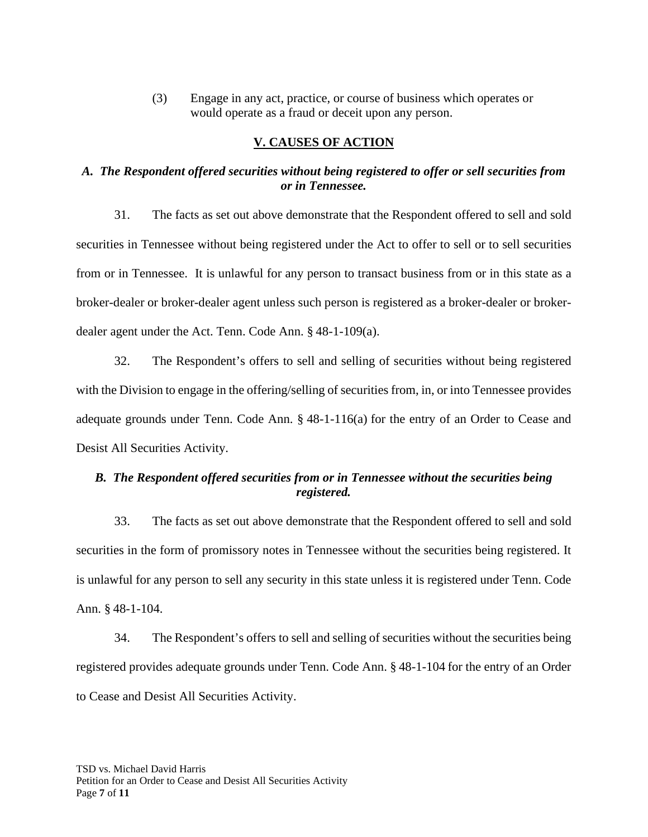(3) Engage in any act, practice, or course of business which operates or would operate as a fraud or deceit upon any person.

## **V. CAUSES OF ACTION**

## *A. The Respondent offered securities without being registered to offer or sell securities from or in Tennessee.*

31. The facts as set out above demonstrate that the Respondent offered to sell and sold securities in Tennessee without being registered under the Act to offer to sell or to sell securities from or in Tennessee. It is unlawful for any person to transact business from or in this state as a broker-dealer or broker-dealer agent unless such person is registered as a broker-dealer or brokerdealer agent under the Act. Tenn. Code Ann. § 48-1-109(a).

32. The Respondent's offers to sell and selling of securities without being registered with the Division to engage in the offering/selling of securities from, in, or into Tennessee provides adequate grounds under Tenn. Code Ann. § 48-1-116(a) for the entry of an Order to Cease and Desist All Securities Activity.

# *B. The Respondent offered securities from or in Tennessee without the securities being registered.*

33. The facts as set out above demonstrate that the Respondent offered to sell and sold securities in the form of promissory notes in Tennessee without the securities being registered. It is unlawful for any person to sell any security in this state unless it is registered under Tenn. Code Ann. § 48-1-104.

34. The Respondent's offers to sell and selling of securities without the securities being registered provides adequate grounds under Tenn. Code Ann. § 48-1-104 for the entry of an Order to Cease and Desist All Securities Activity.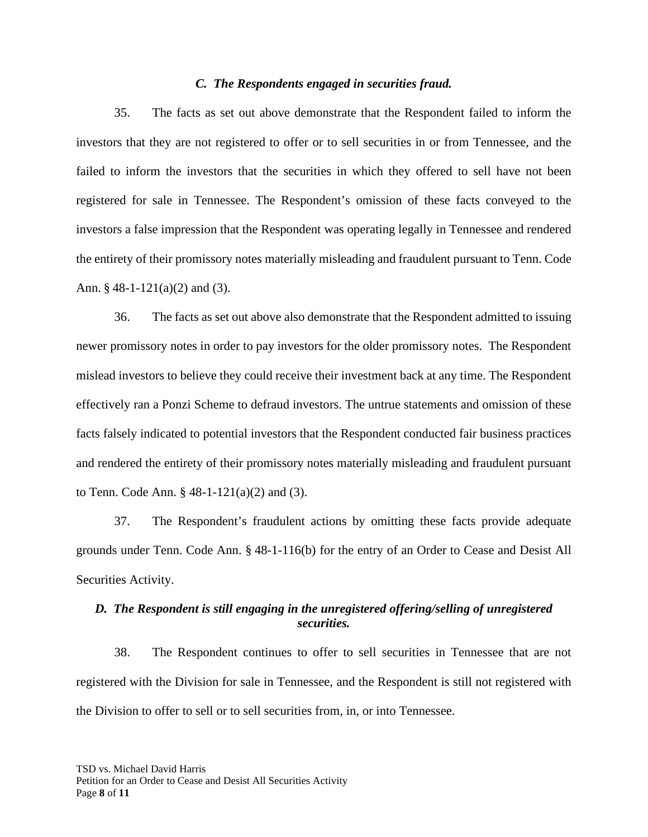#### *C. The Respondents engaged in securities fraud.*

35. The facts as set out above demonstrate that the Respondent failed to inform the investors that they are not registered to offer or to sell securities in or from Tennessee, and the failed to inform the investors that the securities in which they offered to sell have not been registered for sale in Tennessee. The Respondent's omission of these facts conveyed to the investors a false impression that the Respondent was operating legally in Tennessee and rendered the entirety of their promissory notes materially misleading and fraudulent pursuant to Tenn. Code Ann. § 48-1-121(a)(2) and (3).

36. The facts as set out above also demonstrate that the Respondent admitted to issuing newer promissory notes in order to pay investors for the older promissory notes. The Respondent mislead investors to believe they could receive their investment back at any time. The Respondent effectively ran a Ponzi Scheme to defraud investors. The untrue statements and omission of these facts falsely indicated to potential investors that the Respondent conducted fair business practices and rendered the entirety of their promissory notes materially misleading and fraudulent pursuant to Tenn. Code Ann. § 48-1-121(a)(2) and (3).

37. The Respondent's fraudulent actions by omitting these facts provide adequate grounds under Tenn. Code Ann. § 48-1-116(b) for the entry of an Order to Cease and Desist All Securities Activity.

## *D. The Respondent is still engaging in the unregistered offering/selling of unregistered securities.*

38. The Respondent continues to offer to sell securities in Tennessee that are not registered with the Division for sale in Tennessee, and the Respondent is still not registered with the Division to offer to sell or to sell securities from, in, or into Tennessee.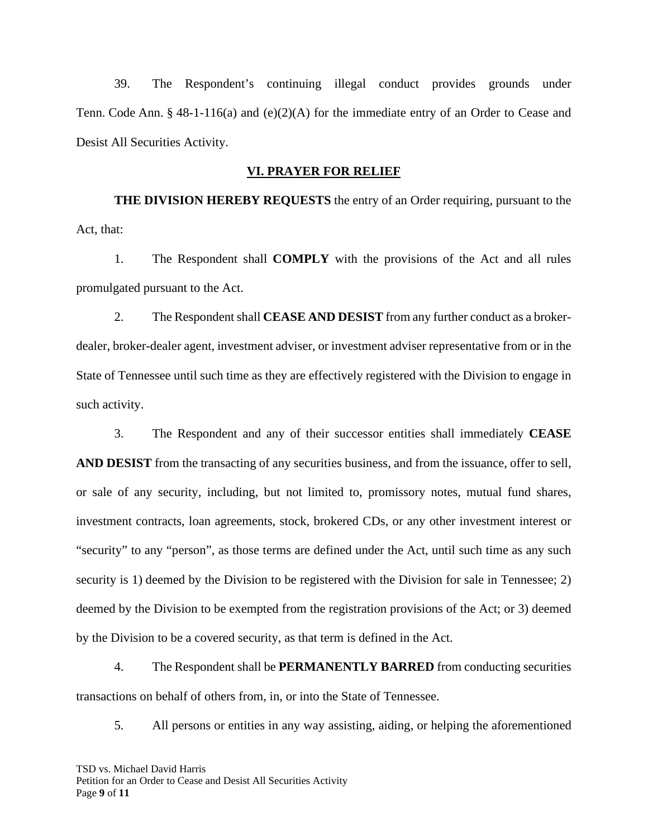39. The Respondent's continuing illegal conduct provides grounds under Tenn. Code Ann. § 48-1-116(a) and (e)(2)(A) for the immediate entry of an Order to Cease and Desist All Securities Activity.

#### **VI. PRAYER FOR RELIEF**

**THE DIVISION HEREBY REQUESTS** the entry of an Order requiring, pursuant to the Act, that:

1. The Respondent shall **COMPLY** with the provisions of the Act and all rules promulgated pursuant to the Act.

2. The Respondent shall **CEASE AND DESIST** from any further conduct as a brokerdealer, broker-dealer agent, investment adviser, or investment adviser representative from or in the State of Tennessee until such time as they are effectively registered with the Division to engage in such activity.

3. The Respondent and any of their successor entities shall immediately **CEASE AND DESIST** from the transacting of any securities business, and from the issuance, offer to sell, or sale of any security, including, but not limited to, promissory notes, mutual fund shares, investment contracts, loan agreements, stock, brokered CDs, or any other investment interest or "security" to any "person", as those terms are defined under the Act, until such time as any such security is 1) deemed by the Division to be registered with the Division for sale in Tennessee; 2) deemed by the Division to be exempted from the registration provisions of the Act; or 3) deemed by the Division to be a covered security, as that term is defined in the Act.

4. The Respondent shall be **PERMANENTLY BARRED** from conducting securities transactions on behalf of others from, in, or into the State of Tennessee.

5. All persons or entities in any way assisting, aiding, or helping the aforementioned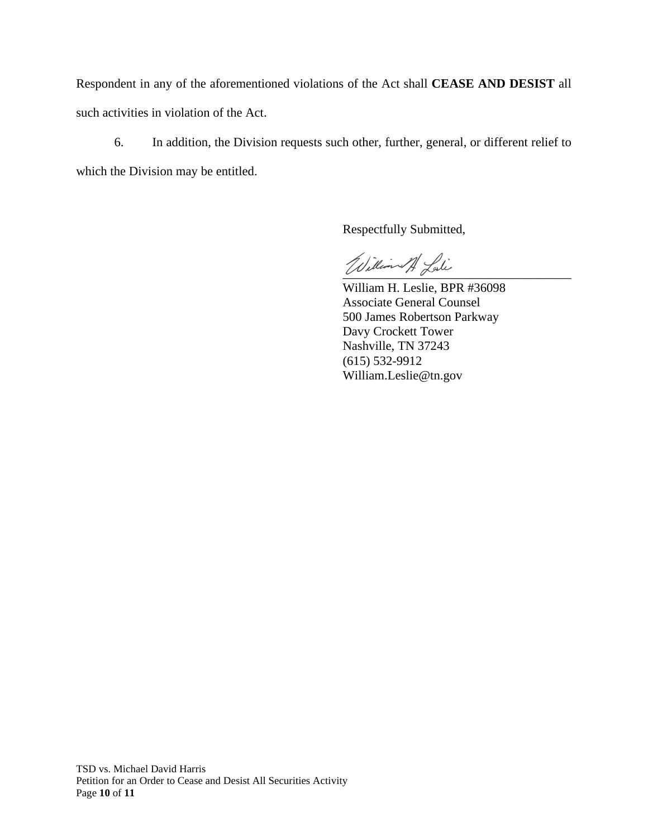Respondent in any of the aforementioned violations of the Act shall **CEASE AND DESIST** all such activities in violation of the Act.

6. In addition, the Division requests such other, further, general, or different relief to which the Division may be entitled.

Respectfully Submitted,

William A. Lali

William H. Leslie, BPR #36098 Associate General Counsel 500 James Robertson Parkway Davy Crockett Tower Nashville, TN 37243 (615) 532-9912 William.Leslie@tn.gov